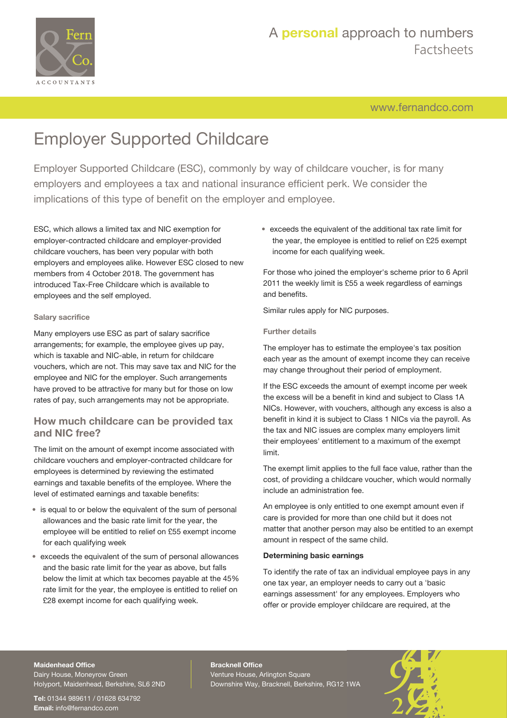

# A **personal** approach to numbers Factsheets

[www.fernandco.com](http://www.fernandco.com)

# Employer Supported Childcare

Employer Supported Childcare (ESC), commonly by way of childcare voucher, is for many employers and employees a tax and national insurance efficient perk. We consider the implications of this type of benefit on the employer and employee.

ESC, which allows a limited tax and NIC exemption for employer-contracted childcare and employer-provided childcare vouchers, has been very popular with both employers and employees alike. However ESC closed to new members from 4 October 2018. The government has introduced Tax-Free Childcare which is available to employees and the self employed.

#### **Salary sacrifice**

Many employers use ESC as part of salary sacrifice arrangements; for example, the employee gives up pay, which is taxable and NIC-able, in return for childcare vouchers, which are not. This may save tax and NIC for the employee and NIC for the employer. Such arrangements have proved to be attractive for many but for those on low rates of pay, such arrangements may not be appropriate.

### **How much childcare can be provided tax and NIC free?**

The limit on the amount of exempt income associated with childcare vouchers and employer-contracted childcare for employees is determined by reviewing the estimated earnings and taxable benefits of the employee. Where the level of estimated earnings and taxable benefits:

- is equal to or below the equivalent of the sum of personal allowances and the basic rate limit for the year, the employee will be entitled to relief on £55 exempt income for each qualifying week
- exceeds the equivalent of the sum of personal allowances and the basic rate limit for the year as above, but falls below the limit at which tax becomes payable at the 45% rate limit for the year, the employee is entitled to relief on £28 exempt income for each qualifying week.

• exceeds the equivalent of the additional tax rate limit for the year, the employee is entitled to relief on £25 exempt income for each qualifying week.

For those who joined the employer's scheme prior to 6 April 2011 the weekly limit is £55 a week regardless of earnings and benefits.

Similar rules apply for NIC purposes.

### **Further details**

The employer has to estimate the employee's tax position each year as the amount of exempt income they can receive may change throughout their period of employment.

If the ESC exceeds the amount of exempt income per week the excess will be a benefit in kind and subject to Class 1A NICs. However, with vouchers, although any excess is also a benefit in kind it is subject to Class 1 NICs via the payroll. As the tax and NIC issues are complex many employers limit their employees' entitlement to a maximum of the exempt limit.

The exempt limit applies to the full face value, rather than the cost, of providing a childcare voucher, which would normally include an administration fee.

An employee is only entitled to one exempt amount even if care is provided for more than one child but it does not matter that another person may also be entitled to an exempt amount in respect of the same child.

### **Determining basic earnings**

To identify the rate of tax an individual employee pays in any one tax year, an employer needs to carry out a 'basic earnings assessment' for any employees. Employers who offer or provide employer childcare are required, at the

#### **Maidenhead Office**

Dairy House, Moneyrow Green Holyport, Maidenhead, Berkshire, SL6 2ND

**Tel:** 01344 989611 / 01628 634792 **Email:** [info@fernandco.com](mailto:info@fernandco.com)

**Bracknell Office** Venture House, Arlington Square Downshire Way, Bracknell, Berkshire, RG12 1WA